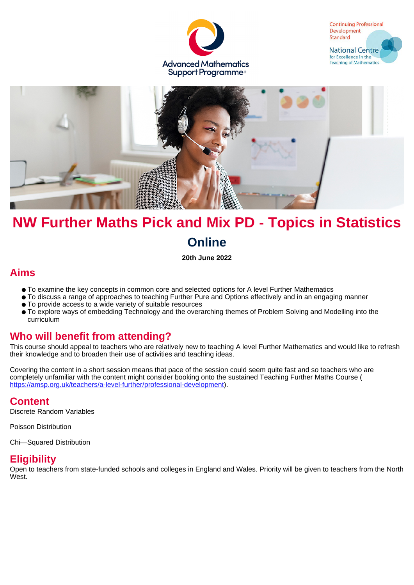





# **NW Further Maths Pick and Mix PD - Topics in Statistics Online**

**20th June 2022**

## **Aims**

- To examine the key concepts in common core and selected options for A level Further Mathematics
- To discuss a range of approaches to teaching Further Pure and Options effectively and in an engaging manner
- To provide access to a wide variety of suitable resources
- To explore ways of embedding Technology and the overarching themes of Problem Solving and Modelling into the curriculum

## **Who will benefit from attending?**

This course should appeal to teachers who are relatively new to teaching A level Further Mathematics and would like to refresh their knowledge and to broaden their use of activities and teaching ideas.

Covering the content in a short session means that pace of the session could seem quite fast and so teachers who are completely unfamiliar with the content might consider booking onto the sustained Teaching Further Maths Course ( <https://amsp.org.uk/teachers/a-level-further/professional-development>).

#### **Content**

Discrete Random Variables

Poisson Distribution

Chi—Squared Distribution

#### **Eligibility**

Open to teachers from state-funded schools and colleges in England and Wales. Priority will be given to teachers from the North West.